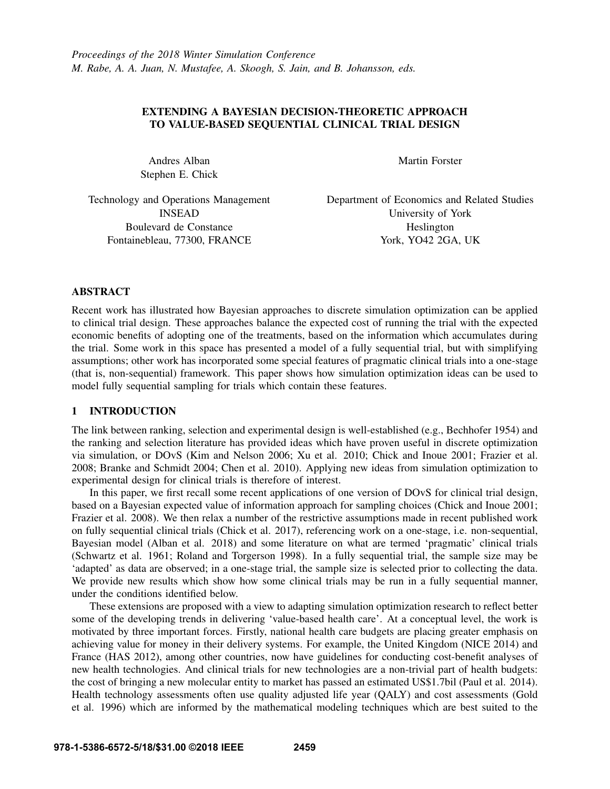# EXTENDING A BAYESIAN DECISION-THEORETIC APPROACH TO VALUE-BASED SEQUENTIAL CLINICAL TRIAL DESIGN

Andres Alban Stephen E. Chick Martin Forster

Technology and Operations Management INSEAD Boulevard de Constance Fontainebleau, 77300, FRANCE

Department of Economics and Related Studies University of York Heslington York, YO42 2GA, UK

# ABSTRACT

Recent work has illustrated how Bayesian approaches to discrete simulation optimization can be applied to clinical trial design. These approaches balance the expected cost of running the trial with the expected economic benefits of adopting one of the treatments, based on the information which accumulates during the trial. Some work in this space has presented a model of a fully sequential trial, but with simplifying assumptions; other work has incorporated some special features of pragmatic clinical trials into a one-stage (that is, non-sequential) framework. This paper shows how simulation optimization ideas can be used to model fully sequential sampling for trials which contain these features.

# 1 INTRODUCTION

The link between ranking, selection and experimental design is well-established (e.g., Bechhofer 1954) and the ranking and selection literature has provided ideas which have proven useful in discrete optimization via simulation, or DOvS (Kim and Nelson 2006; Xu et al. 2010; Chick and Inoue 2001; Frazier et al. 2008; Branke and Schmidt 2004; Chen et al. 2010). Applying new ideas from simulation optimization to experimental design for clinical trials is therefore of interest.

In this paper, we first recall some recent applications of one version of DOvS for clinical trial design, based on a Bayesian expected value of information approach for sampling choices (Chick and Inoue 2001; Frazier et al. 2008). We then relax a number of the restrictive assumptions made in recent published work on fully sequential clinical trials (Chick et al. 2017), referencing work on a one-stage, i.e. non-sequential, Bayesian model (Alban et al. 2018) and some literature on what are termed 'pragmatic' clinical trials (Schwartz et al. 1961; Roland and Torgerson 1998). In a fully sequential trial, the sample size may be 'adapted' as data are observed; in a one-stage trial, the sample size is selected prior to collecting the data. We provide new results which show how some clinical trials may be run in a fully sequential manner, under the conditions identified below.

These extensions are proposed with a view to adapting simulation optimization research to reflect better some of the developing trends in delivering 'value-based health care'. At a conceptual level, the work is motivated by three important forces. Firstly, national health care budgets are placing greater emphasis on achieving value for money in their delivery systems. For example, the United Kingdom (NICE 2014) and France (HAS 2012), among other countries, now have guidelines for conducting cost-benefit analyses of new health technologies. And clinical trials for new technologies are a non-trivial part of health budgets: the cost of bringing a new molecular entity to market has passed an estimated US\$1.7bil (Paul et al. 2014). Health technology assessments often use quality adjusted life year (QALY) and cost assessments (Gold et al. 1996) which are informed by the mathematical modeling techniques which are best suited to the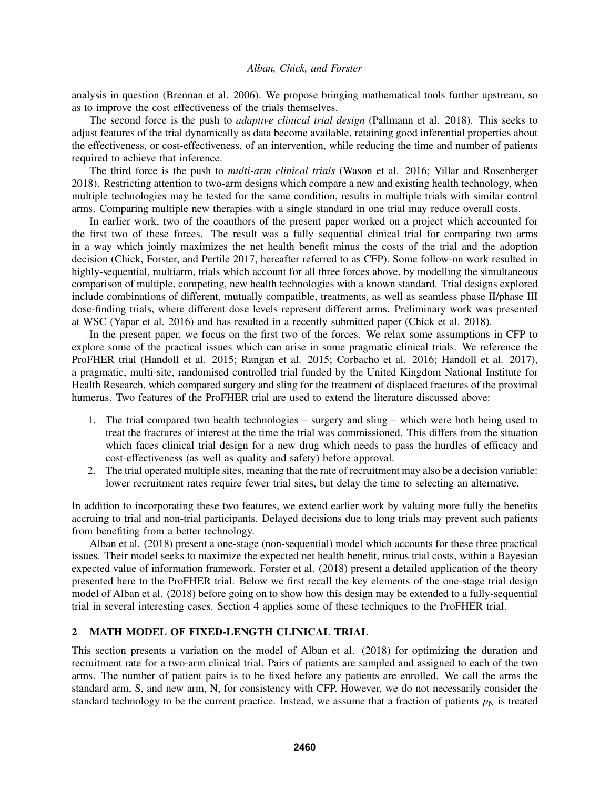analysis in question (Brennan et al. 2006). We propose bringing mathematical tools further upstream, so as to improve the cost effectiveness of the trials themselves.

The second force is the push to *adaptive clinical trial design* (Pallmann et al. 2018). This seeks to adjust features of the trial dynamically as data become available, retaining good inferential properties about the effectiveness, or cost-effectiveness, of an intervention, while reducing the time and number of patients required to achieve that inference.

The third force is the push to *multi-arm clinical trials* (Wason et al. 2016; Villar and Rosenberger 2018). Restricting attention to two-arm designs which compare a new and existing health technology, when multiple technologies may be tested for the same condition, results in multiple trials with similar control arms. Comparing multiple new therapies with a single standard in one trial may reduce overall costs.

In earlier work, two of the coauthors of the present paper worked on a project which accounted for the first two of these forces. The result was a fully sequential clinical trial for comparing two arms in a way which jointly maximizes the net health benefit minus the costs of the trial and the adoption decision (Chick, Forster, and Pertile 2017, hereafter referred to as CFP). Some follow-on work resulted in highly-sequential, multiarm, trials which account for all three forces above, by modelling the simultaneous comparison of multiple, competing, new health technologies with a known standard. Trial designs explored include combinations of different, mutually compatible, treatments, as well as seamless phase II/phase III dose-finding trials, where different dose levels represent different arms. Preliminary work was presented at WSC (Yapar et al. 2016) and has resulted in a recently submitted paper (Chick et al. 2018).

In the present paper, we focus on the first two of the forces. We relax some assumptions in CFP to explore some of the practical issues which can arise in some pragmatic clinical trials. We reference the ProFHER trial (Handoll et al. 2015; Rangan et al. 2015; Corbacho et al. 2016; Handoll et al. 2017), a pragmatic, multi-site, randomised controlled trial funded by the United Kingdom National Institute for Health Research, which compared surgery and sling for the treatment of displaced fractures of the proximal humerus. Two features of the ProFHER trial are used to extend the literature discussed above:

- 1. The trial compared two health technologies surgery and sling which were both being used to treat the fractures of interest at the time the trial was commissioned. This differs from the situation which faces clinical trial design for a new drug which needs to pass the hurdles of efficacy and cost-effectiveness (as well as quality and safety) before approval.
- 2. The trial operated multiple sites, meaning that the rate of recruitment may also be a decision variable: lower recruitment rates require fewer trial sites, but delay the time to selecting an alternative.

In addition to incorporating these two features, we extend earlier work by valuing more fully the benefits accruing to trial and non-trial participants. Delayed decisions due to long trials may prevent such patients from benefiting from a better technology.

Alban et al. (2018) present a one-stage (non-sequential) model which accounts for these three practical issues. Their model seeks to maximize the expected net health benefit, minus trial costs, within a Bayesian expected value of information framework. Forster et al. (2018) present a detailed application of the theory presented here to the ProFHER trial. Below we first recall the key elements of the one-stage trial design model of Alban et al. (2018) before going on to show how this design may be extended to a fully-sequential trial in several interesting cases. Section 4 applies some of these techniques to the ProFHER trial.

# 2 MATH MODEL OF FIXED-LENGTH CLINICAL TRIAL

This section presents a variation on the model of Alban et al. (2018) for optimizing the duration and recruitment rate for a two-arm clinical trial. Pairs of patients are sampled and assigned to each of the two arms. The number of patient pairs is to be fixed before any patients are enrolled. We call the arms the standard arm, S, and new arm, N, for consistency with CFP. However, we do not necessarily consider the standard technology to be the current practice. Instead, we assume that a fraction of patients  $p_N$  is treated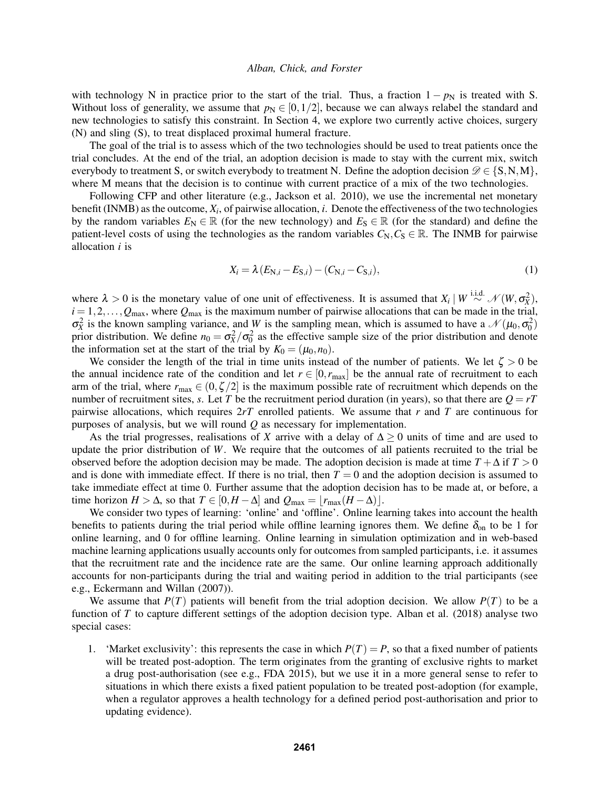with technology N in practice prior to the start of the trial. Thus, a fraction  $1 - p_N$  is treated with S. Without loss of generality, we assume that  $p_N \in [0,1/2]$ , because we can always relabel the standard and new technologies to satisfy this constraint. In Section 4, we explore two currently active choices, surgery (N) and sling (S), to treat displaced proximal humeral fracture.

The goal of the trial is to assess which of the two technologies should be used to treat patients once the trial concludes. At the end of the trial, an adoption decision is made to stay with the current mix, switch everybody to treatment S, or switch everybody to treatment N. Define the adoption decision  $\mathscr{D} \in \{S, N, M\}$ , where M means that the decision is to continue with current practice of a mix of the two technologies.

Following CFP and other literature (e.g., Jackson et al. 2010), we use the incremental net monetary benefit (INMB) as the outcome, *X<sup>i</sup>* , of pairwise allocation, *i*. Denote the effectiveness of the two technologies by the random variables  $E_N \in \mathbb{R}$  (for the new technology) and  $E_S \in \mathbb{R}$  (for the standard) and define the patient-level costs of using the technologies as the random variables  $C_N$ ,  $C_S \in \mathbb{R}$ . The INMB for pairwise allocation *i* is

$$
X_i = \lambda (E_{N,i} - E_{S,i}) - (C_{N,i} - C_{S,i}),
$$
\n(1)

where  $\lambda > 0$  is the monetary value of one unit of effectiveness. It is assumed that  $X_i \mid W \stackrel{\text{i.i.d.}}{\sim} \mathcal{N}(W, \sigma_X^2)$ ,  $i = 1, 2, \ldots, Q_{\text{max}}$ , where  $Q_{\text{max}}$  is the maximum number of pairwise allocations that can be made in the trial,  $\sigma_X^2$  is the known sampling variance, and *W* is the sampling mean, which is assumed to have a  $\mathcal{N}(\mu_0, \sigma_0^2)$ prior distribution. We define  $n_0 = \sigma_X^2/\sigma_0^2$  as the effective sample size of the prior distribution and denote the information set at the start of the trial by  $K_0 = (\mu_0, n_0)$ .

We consider the length of the trial in time units instead of the number of patients. We let  $\zeta > 0$  be the annual incidence rate of the condition and let  $r \in [0, r_{\text{max}}]$  be the annual rate of recruitment to each arm of the trial, where  $r_{\text{max}} \in (0, \zeta/2]$  is the maximum possible rate of recruitment which depends on the number of recruitment sites, *s*. Let *T* be the recruitment period duration (in years), so that there are  $Q = rT$ pairwise allocations, which requires 2*rT* enrolled patients. We assume that *r* and *T* are continuous for purposes of analysis, but we will round *Q* as necessary for implementation.

As the trial progresses, realisations of *X* arrive with a delay of  $\Delta \geq 0$  units of time and are used to update the prior distribution of *W*. We require that the outcomes of all patients recruited to the trial be observed before the adoption decision may be made. The adoption decision is made at time  $T + \Delta$  if  $T > 0$ and is done with immediate effect. If there is no trial, then  $T = 0$  and the adoption decision is assumed to take immediate effect at time 0. Further assume that the adoption decision has to be made at, or before, a time horizon *H* >  $\Delta$ , so that *T* ∈ [0,*H* −  $\Delta$ ] and  $Q_{\text{max}} = |r_{\text{max}}(H - \Delta)|$ .

We consider two types of learning: 'online' and 'offline'. Online learning takes into account the health benefits to patients during the trial period while offline learning ignores them. We define  $\delta_{\rm on}$  to be 1 for online learning, and 0 for offline learning. Online learning in simulation optimization and in web-based machine learning applications usually accounts only for outcomes from sampled participants, i.e. it assumes that the recruitment rate and the incidence rate are the same. Our online learning approach additionally accounts for non-participants during the trial and waiting period in addition to the trial participants (see e.g., Eckermann and Willan (2007)).

We assume that  $P(T)$  patients will benefit from the trial adoption decision. We allow  $P(T)$  to be a function of *T* to capture different settings of the adoption decision type. Alban et al. (2018) analyse two special cases:

1. 'Market exclusivity': this represents the case in which  $P(T) = P$ , so that a fixed number of patients will be treated post-adoption. The term originates from the granting of exclusive rights to market a drug post-authorisation (see e.g., FDA 2015), but we use it in a more general sense to refer to situations in which there exists a fixed patient population to be treated post-adoption (for example, when a regulator approves a health technology for a defined period post-authorisation and prior to updating evidence).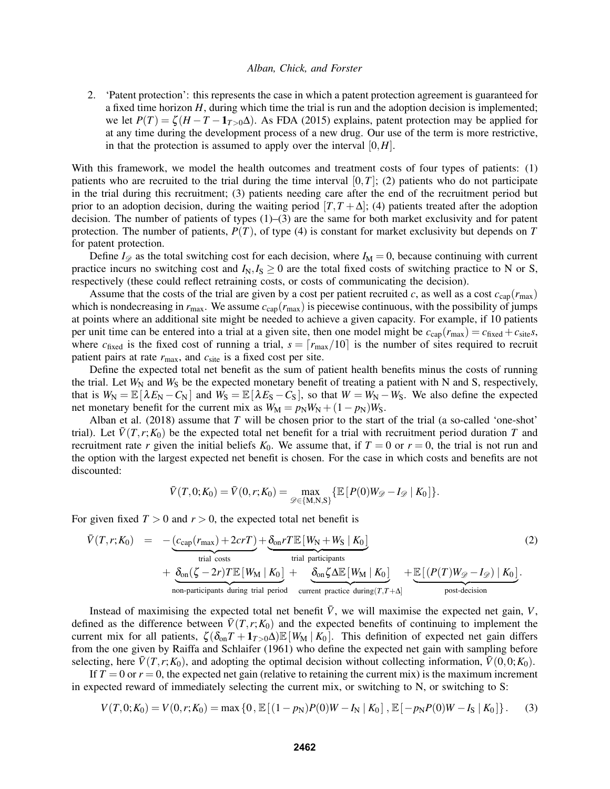2. 'Patent protection': this represents the case in which a patent protection agreement is guaranteed for a fixed time horizon *H*, during which time the trial is run and the adoption decision is implemented; we let  $P(T) = \zeta (H - T - 1_{T>0}\Delta)$ . As FDA (2015) explains, patent protection may be applied for at any time during the development process of a new drug. Our use of the term is more restrictive, in that the protection is assumed to apply over the interval  $[0,H]$ .

With this framework, we model the health outcomes and treatment costs of four types of patients: (1) patients who are recruited to the trial during the time interval  $[0,T]$ ; (2) patients who do not participate in the trial during this recruitment; (3) patients needing care after the end of the recruitment period but prior to an adoption decision, during the waiting period  $[T, T + \Delta]$ ; (4) patients treated after the adoption decision. The number of patients of types (1)–(3) are the same for both market exclusivity and for patent protection. The number of patients,  $P(T)$ , of type (4) is constant for market exclusivity but depends on  $T$ for patent protection.

Define  $I_{\mathscr{D}}$  as the total switching cost for each decision, where  $I_M = 0$ , because continuing with current practice incurs no switching cost and  $I_N, I_S \geq 0$  are the total fixed costs of switching practice to N or S, respectively (these could reflect retraining costs, or costs of communicating the decision).

Assume that the costs of the trial are given by a cost per patient recruited *c*, as well as a cost  $c_{cap}(r_{max})$ which is nondecreasing in  $r_{\text{max}}$ . We assume  $c_{\text{cap}}(r_{\text{max}})$  is piecewise continuous, with the possibility of jumps at points where an additional site might be needed to achieve a given capacity. For example, if 10 patients per unit time can be entered into a trial at a given site, then one model might be  $c_{cap}(r_{max}) = c_{fixed} + c_{site}s$ , where  $c_{\text{fixed}}$  is the fixed cost of running a trial,  $s = \lceil r_{\text{max}}/10 \rceil$  is the number of sites required to recruit patient pairs at rate  $r_{\text{max}}$ , and  $c_{\text{site}}$  is a fixed cost per site.

Define the expected total net benefit as the sum of patient health benefits minus the costs of running the trial. Let  $W_N$  and  $W_S$  be the expected monetary benefit of treating a patient with N and S, respectively, that is  $W_N = \mathbb{E}[\lambda E_N - C_N]$  and  $W_S = \mathbb{E}[\lambda E_S - C_S]$ , so that  $W = W_N - W_S$ . We also define the expected net monetary benefit for the current mix as  $W_M = p_N W_N + (1 - p_N)W_S$ .

Alban et al. (2018) assume that *T* will be chosen prior to the start of the trial (a so-called 'one-shot' trial). Let  $\bar{V}(T,r;K_0)$  be the expected total net benefit for a trial with recruitment period duration *T* and recruitment rate *r* given the initial beliefs  $K_0$ . We assume that, if  $T = 0$  or  $r = 0$ , the trial is not run and the option with the largest expected net benefit is chosen. For the case in which costs and benefits are not discounted:

$$
\bar{V}(T,0;K_0) = \bar{V}(0,r;K_0) = \max_{\mathscr{D} \in \{M,N,S\}} \{ \mathbb{E} [ P(0)W_{\mathscr{D}} - I_{\mathscr{D}} | K_0 ] \}.
$$

For given fixed  $T > 0$  and  $r > 0$ , the expected total net benefit is

$$
\bar{V}(T,r;K_0) = -\underbrace{(c_{cap}(r_{max}) + 2crT)}_{\text{trial costs}} + \underbrace{\delta_{on}rT\mathbb{E}[W_N + W_S | K_0]}_{\text{trial costs}} + \underbrace{\delta_{on}(\zeta - 2r)T\mathbb{E}[W_M | K_0]}_{\text{non-participants during trial period}} + \underbrace{\delta_{on}\zeta\Delta\mathbb{E}[W_M | K_0]}_{\text{current practice during}(T,T+\Delta)} + \underbrace{\mathbb{E}[(P(T)W_{\mathcal{D}} - I_{\mathcal{D}}) | K_0]}_{\text{post-decision}}.
$$
\n(2)

Instead of maximising the expected total net benefit  $\bar{V}$ , we will maximise the expected net gain,  $V$ , defined as the difference between  $\bar{V}(T, r; K_0)$  and the expected benefits of continuing to implement the current mix for all patients,  $\zeta(\delta_{on}T + 1_{T>0}\Delta) \mathbb{E}[W_M | K_0]$ . This definition of expected net gain differs from the one given by Raiffa and Schlaifer (1961) who define the expected net gain with sampling before selecting, here  $\bar{V}(T, r; K_0)$ , and adopting the optimal decision without collecting information,  $\bar{V}(0,0; K_0)$ .

If  $T = 0$  or  $r = 0$ , the expected net gain (relative to retaining the current mix) is the maximum increment in expected reward of immediately selecting the current mix, or switching to N, or switching to S:

$$
V(T,0;K_0) = V(0,r;K_0) = \max\left\{0, \mathbb{E}\left[(1-p_N)P(0)W - I_N \mid K_0\right], \mathbb{E}\left[-p_N P(0)W - I_S \mid K_0\right]\right\}.
$$
 (3)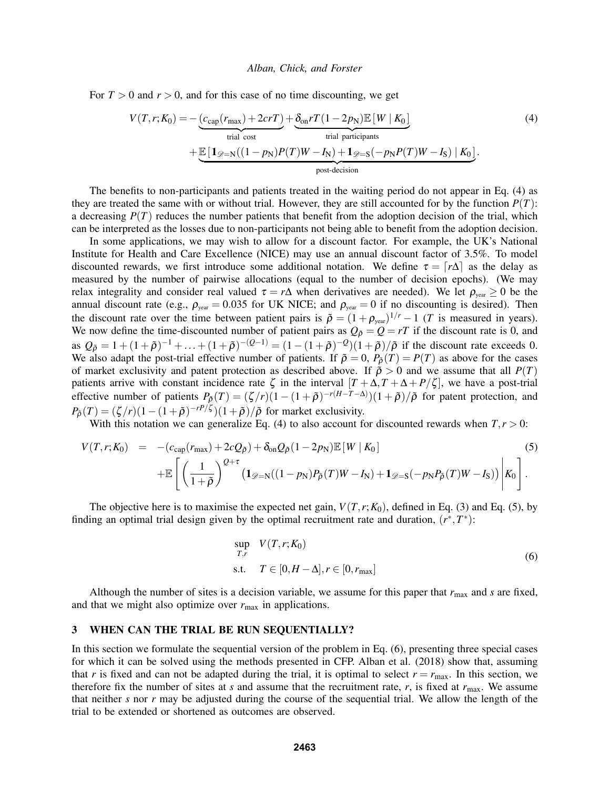For  $T > 0$  and  $r > 0$ , and for this case of no time discounting, we get

$$
V(T, r; K_0) = -\underbrace{(c_{cap}(r_{max}) + 2crT)}_{\text{trial cost}} + \underbrace{\underbrace{8_{on}rT(1 - 2p_{\text{N}})\mathbb{E}[W | K_0]}_{\text{trial participants}} + \underbrace{\mathbb{E}[\mathbf{1}_{\mathscr{D}=\text{N}}((1 - p_{\text{N}})P(T)W - I_{\text{N}}) + \mathbf{1}_{\mathscr{D}=\text{S}}(-p_{\text{N}}P(T)W - I_{\text{S}}) | K_0]}_{\text{post-decision}}.
$$
\n(4)

The benefits to non-participants and patients treated in the waiting period do not appear in Eq. (4) as they are treated the same with or without trial. However, they are still accounted for by the function  $P(T)$ : a decreasing  $P(T)$  reduces the number patients that benefit from the adoption decision of the trial, which can be interpreted as the losses due to non-participants not being able to benefit from the adoption decision.

In some applications, we may wish to allow for a discount factor. For example, the UK's National Institute for Health and Care Excellence (NICE) may use an annual discount factor of 3.5%. To model discounted rewards, we first introduce some additional notation. We define  $\tau = \lceil r\Delta \rceil$  as the delay as measured by the number of pairwise allocations (equal to the number of decision epochs). (We may relax integrality and consider real valued  $\tau = r\Delta$  when derivatives are needed). We let  $\rho_{\text{year}} \ge 0$  be the annual discount rate (e.g.,  $\rho_{year} = 0.035$  for UK NICE; and  $\rho_{year} = 0$  if no discounting is desired). Then the discount rate over the time between patient pairs is  $\tilde{\rho} = (1 + \rho_{\text{year}})^{1/r} - 1$  (*T* is measured in years). We now define the time-discounted number of patient pairs as  $Q_{\tilde{\rho}} = Q = rT$  if the discount rate is 0, and as  $Q_{\tilde{\rho}} = 1 + (1 + \tilde{\rho})^{-1} + ... + (1 + \tilde{\rho})^{-(Q-1)} = (1 - (1 + \tilde{\rho})^{-Q})(1 + \tilde{\rho})/\tilde{\rho}$  if the discount rate exceeds 0. We also adapt the post-trial effective number of patients. If  $\tilde{\rho} = 0$ ,  $P_{\tilde{\rho}}(T) = P(T)$  as above for the cases of market exclusivity and patent protection as described above. If  $\tilde{\rho} > 0$  and we assume that all  $P(T)$ patients arrive with constant incidence rate  $\zeta$  in the interval  $[T + \Delta, T + \Delta + P/\zeta]$ , we have a post-trial effective number of patients  $P_{\tilde{\rho}}(T) = (\zeta/r)(1 - (1 + \tilde{\rho})^{-r(H-T-\Delta)})(1 + \tilde{\rho})/\tilde{\rho}$  for patent protection, and  $P_{\tilde{\rho}}(T) = (\zeta/r)(1 - (1 + \tilde{\rho})^{-rP/\zeta})(1 + \tilde{\rho})/\tilde{\rho}$  for market exclusivity.

With this notation we can generalize Eq. (4) to also account for discounted rewards when  $T, r > 0$ :

$$
V(T,r;K_0) = -(c_{\rm cap}(r_{\rm max}) + 2cQ_{\tilde{\rho}}) + \delta_{\rm on}Q_{\tilde{\rho}}(1 - 2p_{\rm N})\mathbb{E}[W|K_0]
$$
\n
$$
+ \mathbb{E}\left[\left(\frac{1}{1+\tilde{\rho}}\right)^{Q+\tau} \left(1_{\mathscr{D}=\rm N}((1-p_{\rm N})P_{\tilde{\rho}}(T)W - I_{\rm N}) + 1_{\mathscr{D}=\rm S}(-p_{\rm N}P_{\tilde{\rho}}(T)W - I_{\rm S})\right)\Bigg|K_0\right].
$$
\n(5)

The objective here is to maximise the expected net gain,  $V(T, r; K_0)$ , defined in Eq. (3) and Eq. (5), by finding an optimal trial design given by the optimal recruitment rate and duration,  $(r^*,T^*)$ :

$$
\sup_{T,r} V(T,r;K_0)
$$
  
s.t.  $T \in [0,H-\Delta], r \in [0,r_{\text{max}}]$  (6)

Although the number of sites is a decision variable, we assume for this paper that *r*max and *s* are fixed, and that we might also optimize over  $r_{\text{max}}$  in applications.

# 3 WHEN CAN THE TRIAL BE RUN SEQUENTIALLY?

In this section we formulate the sequential version of the problem in Eq. (6), presenting three special cases for which it can be solved using the methods presented in CFP. Alban et al. (2018) show that, assuming that *r* is fixed and can not be adapted during the trial, it is optimal to select  $r = r_{\text{max}}$ . In this section, we therefore fix the number of sites at  $s$  and assume that the recruitment rate,  $r$ , is fixed at  $r_{\text{max}}$ . We assume that neither *s* nor *r* may be adjusted during the course of the sequential trial. We allow the length of the trial to be extended or shortened as outcomes are observed.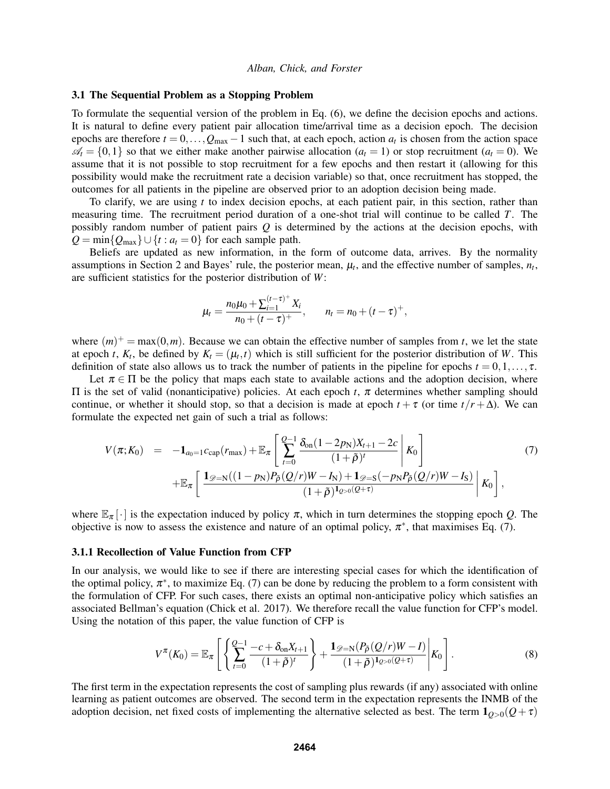## 3.1 The Sequential Problem as a Stopping Problem

To formulate the sequential version of the problem in Eq. (6), we define the decision epochs and actions. It is natural to define every patient pair allocation time/arrival time as a decision epoch. The decision epochs are therefore  $t = 0, \ldots, Q_{\text{max}} - 1$  such that, at each epoch, action  $a_t$  is chosen from the action space  $\mathcal{A}_t = \{0,1\}$  so that we either make another pairwise allocation  $(a_t = 1)$  or stop recruitment  $(a_t = 0)$ . We assume that it is not possible to stop recruitment for a few epochs and then restart it (allowing for this possibility would make the recruitment rate a decision variable) so that, once recruitment has stopped, the outcomes for all patients in the pipeline are observed prior to an adoption decision being made.

To clarify, we are using *t* to index decision epochs, at each patient pair, in this section, rather than measuring time. The recruitment period duration of a one-shot trial will continue to be called *T*. The possibly random number of patient pairs *Q* is determined by the actions at the decision epochs, with  $Q = min\{Q_{max}\} \cup \{t : a_t = 0\}$  for each sample path.

Beliefs are updated as new information, in the form of outcome data, arrives. By the normality assumptions in Section 2 and Bayes' rule, the posterior mean,  $\mu_t$ , and the effective number of samples,  $n_t$ , are sufficient statistics for the posterior distribution of *W*:

$$
\mu_t = \frac{n_0 \mu_0 + \sum_{i=1}^{(t-\tau)^+} X_i}{n_0 + (t-\tau)^+}, \qquad n_t = n_0 + (t-\tau)^+,
$$

where  $(m)^+$  = max $(0,m)$ . Because we can obtain the effective number of samples from *t*, we let the state at epoch *t*,  $K_t$ , be defined by  $K_t = (\mu_t, t)$  which is still sufficient for the posterior distribution of *W*. This definition of state also allows us to track the number of patients in the pipeline for epochs  $t = 0, 1, \ldots, \tau$ .

Let  $\pi \in \Pi$  be the policy that maps each state to available actions and the adoption decision, where Π is the set of valid (nonanticipative) policies. At each epoch *t*, π determines whether sampling should continue, or whether it should stop, so that a decision is made at epoch  $t + \tau$  (or time  $t/r + \Delta$ ). We can formulate the expected net gain of such a trial as follows:

$$
V(\pi; K_0) = -\mathbf{1}_{a_0=1} c_{cap}(r_{max}) + \mathbb{E}_{\pi} \left[ \sum_{t=0}^{Q-1} \frac{\delta_{on} (1 - 2p_N) X_{t+1} - 2c}{(1 + \tilde{\rho})^t} \middle| K_0 \right] + \mathbb{E}_{\pi} \left[ \frac{\mathbf{1}_{\mathscr{D} = N} ((1 - p_N) P_{\tilde{\rho}} (Q/r) W - I_N) + \mathbf{1}_{\mathscr{D} = S} (-p_N P_{\tilde{\rho}} (Q/r) W - I_S)}{(1 + \tilde{\rho})^{\mathbf{1}_{Q > 0} (Q + \tau)}} \middle| K_0 \right],
$$
\n(7)

where  $\mathbb{E}_{\pi}[\cdot]$  is the expectation induced by policy  $\pi$ , which in turn determines the stopping epoch *Q*. The objective is now to assess the existence and nature of an optimal policy,  $\pi^*$ , that maximises Eq. (7).

## 3.1.1 Recollection of Value Function from CFP

In our analysis, we would like to see if there are interesting special cases for which the identification of the optimal policy,  $\pi^*$ , to maximize Eq. (7) can be done by reducing the problem to a form consistent with the formulation of CFP. For such cases, there exists an optimal non-anticipative policy which satisfies an associated Bellman's equation (Chick et al. 2017). We therefore recall the value function for CFP's model. Using the notation of this paper, the value function of CFP is

$$
V^{\pi}(K_0) = \mathbb{E}_{\pi} \left[ \left\{ \sum_{t=0}^{Q-1} \frac{-c + \delta_{\text{on}} X_{t+1}}{(1+\tilde{\rho})^t} \right\} + \frac{\mathbf{1}_{\mathscr{D} = \mathbb{N}} (P_{\tilde{\rho}}(Q/r)W - I)}{(1+\tilde{\rho})^{\mathbf{1}_{Q>0}(Q+\tau)}} \middle| K_0 \right]. \tag{8}
$$

The first term in the expectation represents the cost of sampling plus rewards (if any) associated with online learning as patient outcomes are observed. The second term in the expectation represents the INMB of the adoption decision, net fixed costs of implementing the alternative selected as best. The term  $\mathbf{1}_{Q>0}(Q+\tau)$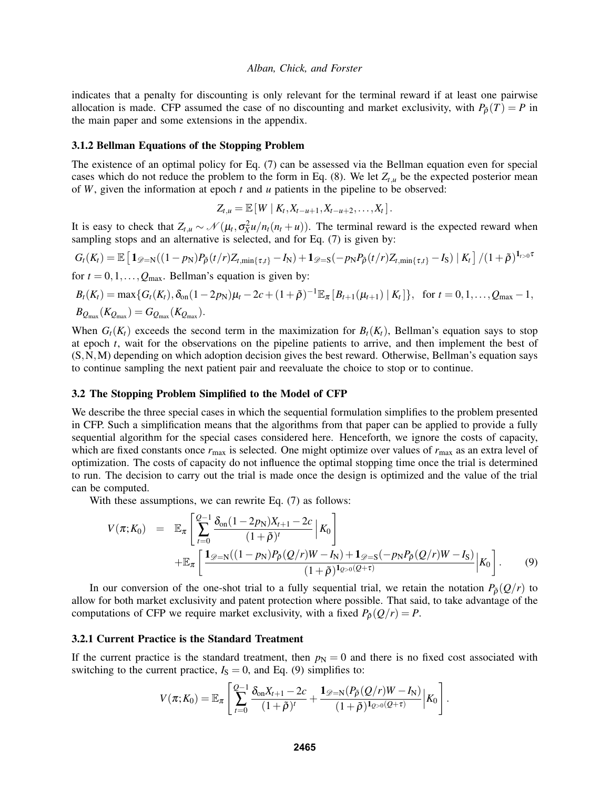indicates that a penalty for discounting is only relevant for the terminal reward if at least one pairwise allocation is made. CFP assumed the case of no discounting and market exclusivity, with  $P_{\phi}(T) = P$  in the main paper and some extensions in the appendix.

## 3.1.2 Bellman Equations of the Stopping Problem

The existence of an optimal policy for Eq. (7) can be assessed via the Bellman equation even for special cases which do not reduce the problem to the form in Eq.  $(8)$ . We let  $Z_{t,u}$  be the expected posterior mean of *W*, given the information at epoch *t* and *u* patients in the pipeline to be observed:

 $Z_{t,u} = \mathbb{E}[W \mid K_t, X_{t-u+1}, X_{t-u+2}, \ldots, X_t].$ 

It is easy to check that  $Z_{t,u} \sim \mathcal{N}(\mu_t, \sigma_X^2 u/n_t(n_t + u))$ . The terminal reward is the expected reward when sampling stops and an alternative is selected, and for Eq. (7) is given by:

$$
G_t(K_t) = \mathbb{E}\left[\mathbf{1}_{\mathscr{D}=N}((1-p_N)P_{\tilde{\rho}}(t/r)Z_{t,\min\{\tau,t\}}-I_N)+\mathbf{1}_{\mathscr{D}=S}(-p_NP_{\tilde{\rho}}(t/r)Z_{t,\min\{\tau,t\}}-I_S)\mid K_t\right]/(1+\tilde{\rho})^{\mathbf{1}_{t>0}\tau}
$$

for  $t = 0, 1, \ldots, Q_{\text{max}}$ . Bellman's equation is given by:

$$
B_t(K_t) = \max\{G_t(K_t), \delta_{\text{on}}(1-2p_N)\mu_t - 2c + (1+\tilde{\rho})^{-1}\mathbb{E}_{\pi}[B_{t+1}(\mu_{t+1}) | K_t]\}, \text{ for } t = 0, 1, ..., Q_{\text{max}} - 1,
$$
  

$$
B_{Q_{\text{max}}}(K_{Q_{\text{max}}}) = G_{Q_{\text{max}}}(K_{Q_{\text{max}}}).
$$

When  $G_t(K_t)$  exceeds the second term in the maximization for  $B_t(K_t)$ , Bellman's equation says to stop at epoch *t*, wait for the observations on the pipeline patients to arrive, and then implement the best of (S,N,M) depending on which adoption decision gives the best reward. Otherwise, Bellman's equation says to continue sampling the next patient pair and reevaluate the choice to stop or to continue.

## 3.2 The Stopping Problem Simplified to the Model of CFP

We describe the three special cases in which the sequential formulation simplifies to the problem presented in CFP. Such a simplification means that the algorithms from that paper can be applied to provide a fully sequential algorithm for the special cases considered here. Henceforth, we ignore the costs of capacity, which are fixed constants once  $r_{\text{max}}$  is selected. One might optimize over values of  $r_{\text{max}}$  as an extra level of optimization. The costs of capacity do not influence the optimal stopping time once the trial is determined to run. The decision to carry out the trial is made once the design is optimized and the value of the trial can be computed.

With these assumptions, we can rewrite Eq. (7) as follows:

$$
V(\pi; K_0) = \mathbb{E}_{\pi} \left[ \sum_{t=0}^{Q-1} \frac{\delta_{\text{on}} (1 - 2p_{\text{N}})X_{t+1} - 2c}{(1 + \tilde{\rho})^t} \middle| K_0 \right] + \mathbb{E}_{\pi} \left[ \frac{\mathbf{1}_{\mathscr{D} = \text{N}} ((1 - p_{\text{N}})P_{\tilde{\rho}}(Q/r)W - I_{\text{N}}) + \mathbf{1}_{\mathscr{D} = \text{S}} (-p_{\text{N}}P_{\tilde{\rho}}(Q/r)W - I_{\text{S}})}{(1 + \tilde{\rho})^{\mathbf{1}_{Q > 0}(Q + \tau)}} \middle| K_0 \right].
$$
 (9)

In our conversion of the one-shot trial to a fully sequential trial, we retain the notation  $P_{\phi}(Q/r)$  to allow for both market exclusivity and patent protection where possible. That said, to take advantage of the computations of CFP we require market exclusivity, with a fixed  $P_{\delta}(Q/r) = P$ .

#### 3.2.1 Current Practice is the Standard Treatment

If the current practice is the standard treatment, then  $p_N = 0$  and there is no fixed cost associated with switching to the current practice,  $I_s = 0$ , and Eq. (9) simplifies to:

$$
V(\pi; K_0) = \mathbb{E}_{\pi} \left[ \sum_{t=0}^{Q-1} \frac{\delta_{\text{on}} X_{t+1} - 2c}{(1+\tilde{\rho})^t} + \frac{\mathbf{1}_{\mathscr{D}=\mathbb{N}} (P_{\tilde{\rho}}(Q/r)W - I_{\mathbb{N}})}{(1+\tilde{\rho})^{\mathbf{1}_{Q>0}(Q+\tau)}} \Big| K_0 \right].
$$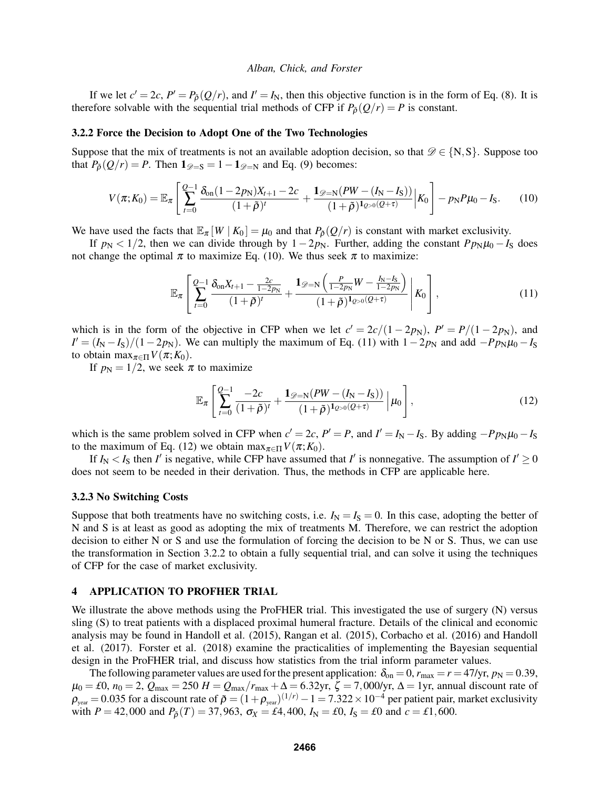If we let  $c' = 2c$ ,  $P' = P_{\tilde{\rho}}(Q/r)$ , and  $I' = I_N$ , then this objective function is in the form of Eq. (8). It is therefore solvable with the sequential trial methods of CFP if  $P_{\theta}(Q/r) = P$  is constant.

## 3.2.2 Force the Decision to Adopt One of the Two Technologies

Suppose that the mix of treatments is not an available adoption decision, so that  $\mathscr{D} \in \{N, S\}$ . Suppose too that  $P_{\tilde{\rho}}(Q/r) = P$ . Then  $\mathbf{1}_{\mathscr{D}=S} = 1 - \mathbf{1}_{\mathscr{D}=N}$  and Eq. (9) becomes:

$$
V(\pi; K_0) = \mathbb{E}_{\pi} \left[ \sum_{t=0}^{Q-1} \frac{\delta_{\text{on}} (1 - 2p_{\text{N}}) X_{t+1} - 2c}{(1 + \tilde{\rho})^t} + \frac{\mathbf{1}_{\mathscr{D} = \text{N}} (PW - (I_{\text{N}} - I_{\text{S}}))}{(1 + \tilde{\rho})^t \rho_{\text{O}} (Q + \tau)} \right] K_0 \right] - p_{\text{N}} P \mu_0 - I_{\text{S}}.
$$
 (10)

We have used the facts that  $\mathbb{E}_{\pi} [W | K_0] = \mu_0$  and that  $P_{\rho}(Q/r)$  is constant with market exclusivity.

If  $p_N < 1/2$ , then we can divide through by  $1-2p_N$ . Further, adding the constant  $Pp_N\mu_0-I_S$  does not change the optimal  $\pi$  to maximize Eq. (10). We thus seek  $\pi$  to maximize:

$$
\mathbb{E}_{\pi} \left[ \sum_{t=0}^{Q-1} \frac{\delta_{\text{on}} X_{t+1} - \frac{2c}{1-2p_{\text{N}}}}{(1+\tilde{\rho})^{t}} + \frac{\mathbf{1}_{\mathscr{D}=\text{N}} \left( \frac{P}{1-2p_{\text{N}}} W - \frac{I_{\text{N}}-I_{\text{S}}}{1-2p_{\text{N}}} \right)}{(1+\tilde{\rho})^{\mathbf{1}_{Q>0}(Q+\tau)}} \middle| K_0 \right], \tag{11}
$$

which is in the form of the objective in CFP when we let  $c' = 2c/(1 - 2p_N)$ ,  $P' = P/(1 - 2p_N)$ , and  $I' = (I_N - I_S)/(1 - 2p_N)$ . We can multiply the maximum of Eq. (11) with  $1 - 2p_N$  and add  $-Pp_N\mu_0 - I_S$ to obtain  $\max_{\pi \in \Pi} V(\pi; K_0)$ .

If  $p_N = 1/2$ , we seek  $\pi$  to maximize

$$
\mathbb{E}_{\pi} \left[ \sum_{t=0}^{Q-1} \frac{-2c}{(1+\tilde{\rho})^t} + \frac{\mathbf{1}_{\mathscr{D}=\mathbb{N}}(PW - (I_N - I_S))}{(1+\tilde{\rho})^{\mathbf{1}_{Q>0}(Q+\tau)}} \, \Big| \, \mu_0 \right],\tag{12}
$$

which is the same problem solved in CFP when  $c' = 2c$ ,  $P' = P$ , and  $I' = I_N - I_S$ . By adding  $-Pp_N\mu_0 - I_S$ to the maximum of Eq. (12) we obtain max<sub> $\pi \in \Pi V(\pi; K_0)$ .</sub>

If  $I_N < I_S$  then *I'* is negative, while CFP have assumed that *I'* is nonnegative. The assumption of  $I' \ge 0$ does not seem to be needed in their derivation. Thus, the methods in CFP are applicable here.

#### 3.2.3 No Switching Costs

Suppose that both treatments have no switching costs, i.e.  $I_N = I_S = 0$ . In this case, adopting the better of N and S is at least as good as adopting the mix of treatments M. Therefore, we can restrict the adoption decision to either N or S and use the formulation of forcing the decision to be N or S. Thus, we can use the transformation in Section 3.2.2 to obtain a fully sequential trial, and can solve it using the techniques of CFP for the case of market exclusivity.

## 4 APPLICATION TO PROFHER TRIAL

We illustrate the above methods using the ProFHER trial. This investigated the use of surgery (N) versus sling (S) to treat patients with a displaced proximal humeral fracture. Details of the clinical and economic analysis may be found in Handoll et al. (2015), Rangan et al. (2015), Corbacho et al. (2016) and Handoll et al. (2017). Forster et al. (2018) examine the practicalities of implementing the Bayesian sequential design in the ProFHER trial, and discuss how statistics from the trial inform parameter values.

The following parameter values are used for the present application:  $\delta_{on} = 0$ ,  $r_{max} = r = 47/yr$ ,  $p_N = 0.39$ ,  $\mu_0 = \text{\textsterling}0$ ,  $n_0 = 2$ ,  $\bar{Q}_{\text{max}} = 250$   $H = \bar{Q}_{\text{max}}/r_{\text{max}} + \Delta = 6.32$ yr,  $\zeta = 7,000$ /yr,  $\Delta = 1$ yr, annual discount rate of  $\rho_{\rm year}$  = 0.035 for a discount rate of  $\tilde{\rho} = (1+\rho_{\rm year})^{(1/r)} - 1 = 7.322 \times 10^{-4}$  per patient pair, market exclusivity with  $P = 42,000$  and  $P_{\rho}(T) = 37,963$ ,  $\sigma_X = \pounds 4,400$ ,  $I_N = \pounds 0$ ,  $I_S = \pounds 0$  and  $c = \pounds 1,600$ .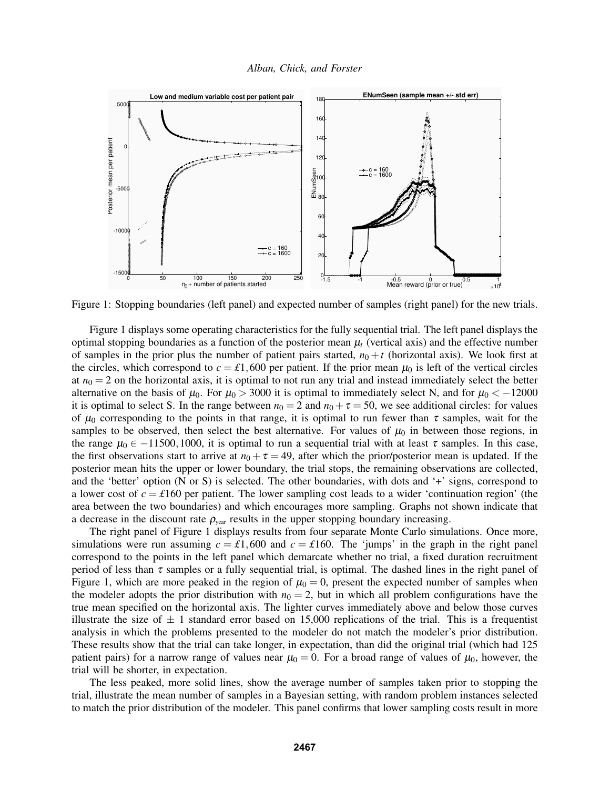



Figure 1: Stopping boundaries (left panel) and expected number of samples (right panel) for the new trials.

Figure 1 displays some operating characteristics for the fully sequential trial. The left panel displays the optimal stopping boundaries as a function of the posterior mean  $\mu$ <sub>t</sub> (vertical axis) and the effective number of samples in the prior plus the number of patient pairs started,  $n_0 + t$  (horizontal axis). We look first at the circles, which correspond to  $c = \text{\textsterling}1,600$  per patient. If the prior mean  $\mu_0$  is left of the vertical circles at  $n_0 = 2$  on the horizontal axis, it is optimal to not run any trial and instead immediately select the better alternative on the basis of  $\mu_0$ . For  $\mu_0 > 3000$  it is optimal to immediately select N, and for  $\mu_0 < -12000$ it is optimal to select S. In the range between  $n_0 = 2$  and  $n_0 + \tau = 50$ , we see additional circles: for values of  $\mu_0$  corresponding to the points in that range, it is optimal to run fewer than  $\tau$  samples, wait for the samples to be observed, then select the best alternative. For values of  $\mu_0$  in between those regions, in the range  $\mu_0 \in -11500, 1000$ , it is optimal to run a sequential trial with at least  $\tau$  samples. In this case, the first observations start to arrive at  $n_0 + \tau = 49$ , after which the prior/posterior mean is updated. If the posterior mean hits the upper or lower boundary, the trial stops, the remaining observations are collected, and the 'better' option (N or S) is selected. The other boundaries, with dots and '+' signs, correspond to a lower cost of  $c = \text{\textsterling}160$  per patient. The lower sampling cost leads to a wider 'continuation region' (the area between the two boundaries) and which encourages more sampling. Graphs not shown indicate that a decrease in the discount rate  $\rho_{\text{year}}$  results in the upper stopping boundary increasing.

The right panel of Figure 1 displays results from four separate Monte Carlo simulations. Once more, simulations were run assuming  $c = \text{\textsterling}1,600$  and  $c = \text{\textsterling}160$ . The 'jumps' in the graph in the right panel correspond to the points in the left panel which demarcate whether no trial, a fixed duration recruitment period of less than  $\tau$  samples or a fully sequential trial, is optimal. The dashed lines in the right panel of Figure 1, which are more peaked in the region of  $\mu_0 = 0$ , present the expected number of samples when the modeler adopts the prior distribution with  $n_0 = 2$ , but in which all problem configurations have the true mean specified on the horizontal axis. The lighter curves immediately above and below those curves illustrate the size of  $\pm$  1 standard error based on 15,000 replications of the trial. This is a frequentist analysis in which the problems presented to the modeler do not match the modeler's prior distribution. These results show that the trial can take longer, in expectation, than did the original trial (which had 125 patient pairs) for a narrow range of values near  $\mu_0 = 0$ . For a broad range of values of  $\mu_0$ , however, the trial will be shorter, in expectation.

The less peaked, more solid lines, show the average number of samples taken prior to stopping the trial, illustrate the mean number of samples in a Bayesian setting, with random problem instances selected to match the prior distribution of the modeler. This panel confirms that lower sampling costs result in more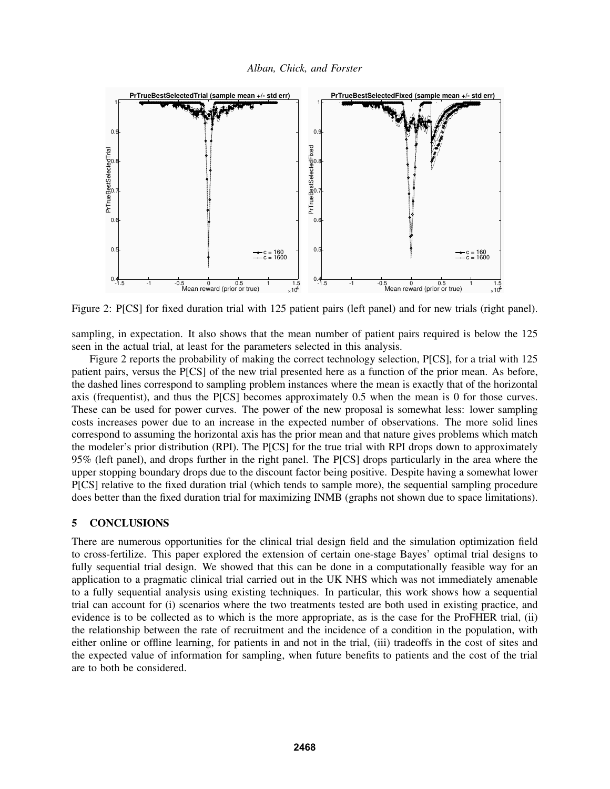

Figure 2: P[CS] for fixed duration trial with 125 patient pairs (left panel) and for new trials (right panel).

sampling, in expectation. It also shows that the mean number of patient pairs required is below the 125 seen in the actual trial, at least for the parameters selected in this analysis.

Figure 2 reports the probability of making the correct technology selection, P[CS], for a trial with 125 patient pairs, versus the P[CS] of the new trial presented here as a function of the prior mean. As before, the dashed lines correspond to sampling problem instances where the mean is exactly that of the horizontal axis (frequentist), and thus the P[CS] becomes approximately 0.5 when the mean is 0 for those curves. These can be used for power curves. The power of the new proposal is somewhat less: lower sampling costs increases power due to an increase in the expected number of observations. The more solid lines correspond to assuming the horizontal axis has the prior mean and that nature gives problems which match the modeler's prior distribution (RPI). The P[CS] for the true trial with RPI drops down to approximately 95% (left panel), and drops further in the right panel. The P[CS] drops particularly in the area where the upper stopping boundary drops due to the discount factor being positive. Despite having a somewhat lower P[CS] relative to the fixed duration trial (which tends to sample more), the sequential sampling procedure does better than the fixed duration trial for maximizing INMB (graphs not shown due to space limitations).

# 5 CONCLUSIONS

There are numerous opportunities for the clinical trial design field and the simulation optimization field to cross-fertilize. This paper explored the extension of certain one-stage Bayes' optimal trial designs to fully sequential trial design. We showed that this can be done in a computationally feasible way for an application to a pragmatic clinical trial carried out in the UK NHS which was not immediately amenable to a fully sequential analysis using existing techniques. In particular, this work shows how a sequential trial can account for (i) scenarios where the two treatments tested are both used in existing practice, and evidence is to be collected as to which is the more appropriate, as is the case for the ProFHER trial, (ii) the relationship between the rate of recruitment and the incidence of a condition in the population, with either online or offline learning, for patients in and not in the trial, (iii) tradeoffs in the cost of sites and the expected value of information for sampling, when future benefits to patients and the cost of the trial are to both be considered.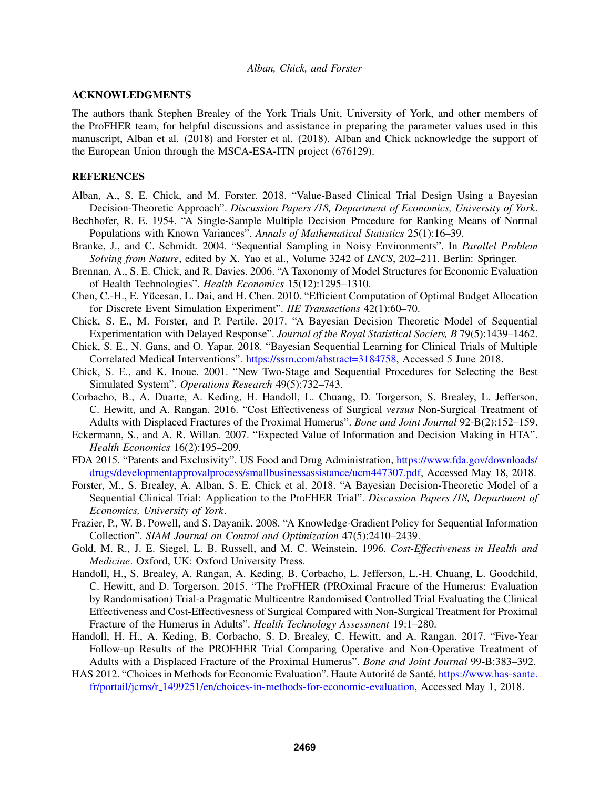## ACKNOWLEDGMENTS

The authors thank Stephen Brealey of the York Trials Unit, University of York, and other members of the ProFHER team, for helpful discussions and assistance in preparing the parameter values used in this manuscript, Alban et al. (2018) and Forster et al. (2018). Alban and Chick acknowledge the support of the European Union through the MSCA-ESA-ITN project (676129).

## **REFERENCES**

- Alban, A., S. E. Chick, and M. Forster. 2018. "Value-Based Clinical Trial Design Using a Bayesian Decision-Theoretic Approach". *Discussion Papers /18, Department of Economics, University of York*.
- Bechhofer, R. E. 1954. "A Single-Sample Multiple Decision Procedure for Ranking Means of Normal Populations with Known Variances". *Annals of Mathematical Statistics* 25(1):16–39.
- Branke, J., and C. Schmidt. 2004. "Sequential Sampling in Noisy Environments". In *Parallel Problem Solving from Nature*, edited by X. Yao et al., Volume 3242 of *LNCS*, 202–211. Berlin: Springer.
- Brennan, A., S. E. Chick, and R. Davies. 2006. "A Taxonomy of Model Structures for Economic Evaluation of Health Technologies". *Health Economics* 15(12):1295–1310.
- Chen, C.-H., E. Yücesan, L. Dai, and H. Chen. 2010. "Efficient Computation of Optimal Budget Allocation for Discrete Event Simulation Experiment". *IIE Transactions* 42(1):60–70.
- Chick, S. E., M. Forster, and P. Pertile. 2017. "A Bayesian Decision Theoretic Model of Sequential Experimentation with Delayed Response". *Journal of the Royal Statistical Society, B* 79(5):1439–1462.
- Chick, S. E., N. Gans, and O. Yapar. 2018. "Bayesian Sequential Learning for Clinical Trials of Multiple Correlated Medical Interventions". https://ssrn.com/abstract=3184758, Accessed 5 June 2018.
- Chick, S. E., and K. Inoue. 2001. "New Two-Stage and Sequential Procedures for Selecting the Best Simulated System". *Operations Research* 49(5):732–743.
- Corbacho, B., A. Duarte, A. Keding, H. Handoll, L. Chuang, D. Torgerson, S. Brealey, L. Jefferson, C. Hewitt, and A. Rangan. 2016. "Cost Effectiveness of Surgical *versus* Non-Surgical Treatment of Adults with Displaced Fractures of the Proximal Humerus". *Bone and Joint Journal* 92-B(2):152–159.
- Eckermann, S., and A. R. Willan. 2007. "Expected Value of Information and Decision Making in HTA". *Health Economics* 16(2):195–209.
- FDA 2015. "Patents and Exclusivity". US Food and Drug Administration, https://www.fda.gov/downloads/ drugs/developmentapprovalprocess/smallbusinessassistance/ucm447307.pdf, Accessed May 18, 2018.
- Forster, M., S. Brealey, A. Alban, S. E. Chick et al. 2018. "A Bayesian Decision-Theoretic Model of a Sequential Clinical Trial: Application to the ProFHER Trial". *Discussion Papers /18, Department of Economics, University of York*.
- Frazier, P., W. B. Powell, and S. Dayanik. 2008. "A Knowledge-Gradient Policy for Sequential Information Collection". *SIAM Journal on Control and Optimization* 47(5):2410–2439.
- Gold, M. R., J. E. Siegel, L. B. Russell, and M. C. Weinstein. 1996. *Cost-Effectiveness in Health and Medicine*. Oxford, UK: Oxford University Press.
- Handoll, H., S. Brealey, A. Rangan, A. Keding, B. Corbacho, L. Jefferson, L.-H. Chuang, L. Goodchild, C. Hewitt, and D. Torgerson. 2015. "The ProFHER (PROximal Fracure of the Humerus: Evaluation by Randomisation) Trial-a Pragmatic Multicentre Randomised Controlled Trial Evaluating the Clinical Effectiveness and Cost-Effectivesness of Surgical Compared with Non-Surgical Treatment for Proximal Fracture of the Humerus in Adults". *Health Technology Assessment* 19:1–280.
- Handoll, H. H., A. Keding, B. Corbacho, S. D. Brealey, C. Hewitt, and A. Rangan. 2017. "Five-Year Follow-up Results of the PROFHER Trial Comparing Operative and Non-Operative Treatment of Adults with a Displaced Fracture of the Proximal Humerus". *Bone and Joint Journal* 99-B:383–392.
- HAS 2012. "Choices in Methods for Economic Evaluation". Haute Autorité de Santé, https://www.has-sante. fr/portail/jcms/r 1499251/en/choices-in-methods-for-economic-evaluation, Accessed May 1, 2018.